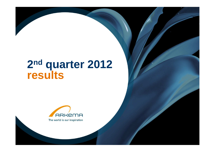# **nd quarter 2012 results**

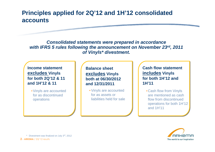## **Principles applied for 2Q'12 and 1H'12 consolidated accounts**

**Consolidated statements were prepared in accordance with IFRS 5 rules following the announcement on November 23rd, 2011 of Vinyls\* divestment.**

**Income statement excludes Vinyls for both 2Q'12 & 11 and 1H'12 & 11**

•Vinyls are accounted for as discontinued operations

**Balance sheetexcludes Vinyls both at 06/30/2012 and 12/31/2011**

• Vinyls are accounted for as assets or liabilities held for sale

**Cash flow statement includes Vinyls for both 1H'12 and 1H'11**

•Cash flow from Vinyls are mentioned as cash flow from discontinued operations for both 1H'12 and 1H'11



**2 - ARKEMA** / 2Q'12 results \* Divestment was finalized on July 3rd, <sup>2012</sup>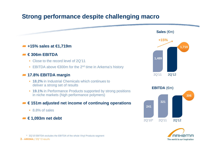## **Strong performance despite challenging macro**





**3 - ARKEMA** / 2Q'12 results \* 2Q'10 EBITDA excludes the EBITDA of the whole Vinyl Products segment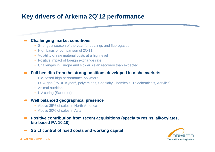# **Key drivers of Arkema 2Q'12 performance**

#### **Challenging market conditions**

- Strongest season of the year for coatings and fluorogases
- High basis of comparison of 2Q'11
- Volatility of raw material costs at a high level
- Positive impact of foreign exchange rate
- Challenges in Europe and slower Asian recovery than expected

#### **Full benefits from the strong positions developed in niche markets**

- Bio-based high performance polymers
- Oil & gas (PVDF Kynar®, polyamides, Specialty Chemicals, Thiochemicals, Acrylics)
- Animal nutrition
- UV curing (Sartomer)

#### **Well balanced geographical presence**

- Above 35% of sales in North America
- Above 20% of sales in Asia
- **Positive contribution from recent acquisitions (specialty resins, alkoxylates, bio-based PA 10.10)**
- **Strict control of fixed costs and working capital** $\sqrt{2}$



and the company's company's company's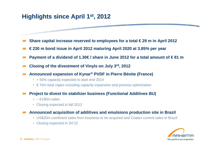## **Highlights since April 1st, 2012**

- **Share capital increase reserved to employees for a total € 29 m in April 2012**
- **€ 230 m bond issue in April 2012 maturing April 2020 at 3.85% per year**
- **Payment of a dividend of 1.30€ / share in June 2012 for a total amount of € 81 m**
- **Closing of the divestment of Vinyls on July 3rd, <sup>2012</sup>**
- **Announced expansion of Kynar® PVDF in Pierre Bénite (France)**
	- + 50% capacity expected to start end 2014
	- $\bullet \in$  70m total capex including capacity expansion and process optimization
- **Project to divest tin stabilizer business (Functional Additives BU)** 
	- $\sim \text{£180m sales}$
	- Closing expected in fall 2012
- **Announced acquisition of additives and emulsions production site in Brazil**
	- US\$20m combined sales from business to be acquired and Coatex current sales in Brazil
	- Closing expected in 2H'12



and the company of the company of the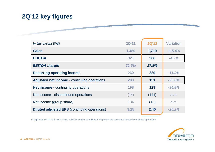# **2Q'12 key figures**

the property of the company of the company of

| in $\epsilon$ m (except EPS)                        | <b>2Q'11</b> | <b>2Q'12</b> | <b>Variation</b> |
|-----------------------------------------------------|--------------|--------------|------------------|
| <b>Sales</b>                                        | 1,489        | 1,719        | $+15.4%$         |
| <b>EBITDA</b>                                       | 321          | 306          | $-4.7%$          |
| <b>EBITDA margin</b>                                | 21.6%        | 17.8%        |                  |
| <b>Recurring operating income</b>                   | 260          | 229          | $-11.9%$         |
| Adjusted net income - continuing operations         | 203          | 151          | $-25.6%$         |
| <b>Net income</b> - continuing operations           | 198          | 129          | $-34.8%$         |
| Net income - discontinued operations                | (14)         | (141)        | n.m.             |
| Net income (group share)                            | 184          | (12)         | n.m.             |
| <b>Diluted adjusted EPS</b> (continuing operations) | 3.25         | 2.40         | $-26.2%$         |

In application of IFRS 5 rules, Vinyls activities subject to a divestment project are accounted for as discontinued operations



and the control of the control of the control of the control of the control of the control of the control of the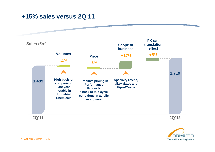## **+15% sales versus 2Q'11**





and the company's company's company's

**7 - ARKEMA** / 2Q'12 results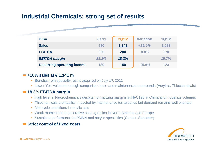## **Industrial Chemicals: strong set of results**

| in $\epsilon$ m                   | 2Q'11 | <b>2Q'12</b> | <b>Variation</b> | 1Q'12 |
|-----------------------------------|-------|--------------|------------------|-------|
| <b>Sales</b>                      | 980   | 1,141        | $+16.4%$         | 1,083 |
| <b>EBITDA</b>                     | 226   | 208          | $-8.0\%$         | 170   |
| <b>EBITDA</b> margin              | 23.1% | 18.2%        |                  | 15.7% |
| <b>Recurring operating income</b> | 189   | 159          | $-15.9%$         | 123   |

#### **+16% sales at € 1,141 m**

- Benefits from specialty resins acquired on July 1<sup>st</sup>, 2011
- Lower YoY volumes on high comparison base and maintenance turnarounds (Acrylics, Thiochemicals)

#### **18.2% EBITDA margin**

- High level in Fluorochemicals despite normalizing margins in HFC125 in China and moderate volumes
- Thiochemicals profitability impacted by maintenance turnarounds but demand remains well oriented
- Mid-cycle conditions in acrylic acid
- Weak momentum in decorative coating resins in North America and Europe
- Sustained performance in PMMA and acrylic specialties (Coatex, Sartomer)

#### **Strict control of fixed costs**



and the company's company's company's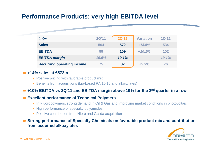## **Performance Products: very high EBITDA level**

| $in \in m$                        | <b>2Q'11</b> | <b>2Q'12</b> | <b>Variation</b> | 1Q'12 |
|-----------------------------------|--------------|--------------|------------------|-------|
| <b>Sales</b>                      | 504          | 572          | $+13.5%$         | 534   |
| <b>EBITDA</b>                     | 99           | 109          | $+10.1%$         | 102   |
| <b>EBITDA margin</b>              | 19.6%        | 19.1%        |                  | 19.1% |
| <b>Recurring operating income</b> | 75           | 82           | $+9.3%$          | 76    |

#### **+14% sales at €572m**

- Positive pricing with favorable product mix
- Benefits from acquisitions (bio-based PA 10.10 and alkoxylates)

#### **+10% EBITDA vs 2Q'11 and EBITDA margin above 19% for the 2nd quarter in a row**

#### **Excellent performance of Technical Polymers**

- In Fluoropolymers, strong demand in Oil & Gas and improving market conditions in photovoltaic
- High performance of specialty polyamides
- Positive contribution from Hipro and Casda acquisition
- **Strong performance of Specialty Chemicals on favorable product mix and contribution from acquired alkoxylates**



and the company of the company of the company of the company of the company of the company of the company of the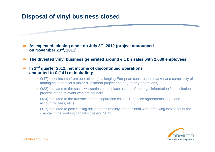## **Disposal of vinyl business closed**

**As expected, closing made on July 3rd, 2012 (project announced on November 23rd, 2011)**

**The divested vinyl business generated around € 1 bn sales with 2,630 employees**

#### **In 2nd quarter 2012, net income of discontinued operationsamounted to € (141) m including:**

- €(47)m net income from operations (challenging European construction market and complexity of managing in parallel a major divestment project and day-to-day operations)
- $\epsilon$ (33)m related to the social warranties put in place as part of the legal information / consultation process of the relevant workers councils
- €(34)m related to the transaction and separation costs (IT, service agreements, legal and accounting fees, etc.)
- $\bullet$  €(27)m related to post closing adjustments (mainly an additional write-off taking into account the change in the working capital since end 2011)



and the company's company's company's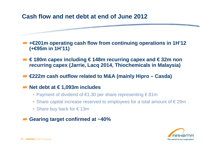## **Cash flow and net debt at end of June 2012**

**+€201m operating cash flow from continuing operations in 1H'12 (+€95m in 1H'11)**

**€ 180m capex including € 148m recurring capex and € 32m non recurring capex (Jarrie, Lacq 2014, Thiochemicals in Malaysia)** 

**€222m cash outflow related to M&A (mainly Hipro – Casda)**

### **Net debt at € 1,093m includes**

- Payment of dividend of €1.30 per share representing € 81m
- Share capital increase reserved to employees for a total amount of  $\in$  29m
- Share buy back for € 13m

**Gearing target confirmed at ~40%**



and the company's company's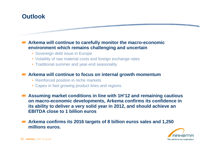## **Outlook**

#### **Arkema will continue to carefully monitor the macro-economic**  $\blacksquare$ **environment which remains challenging and uncertain**

- Sovereign debt issue in Europe
- Volatility of raw material costs and foreign exchange rates
- Traditional summer and year-end seasonality

#### **Arkema will continue to focus on internal growth momentumA**

- Reinforced position in niche markets
- Capex in fast growing product lines and regions
- **Assuming market conditions in line with 1H'12 and remaining cautious on macro-economic developments, Arkema confirms its confidence in its ability to deliver a very solid year in 2012, and should achieve an EBITDA close to 1 billion euros**
- **Arkema confirms its 2016 targets of 8 billion euros sales and 1,250 millions euros.**



a sa tanàna amin'ny faritr'i Normandie